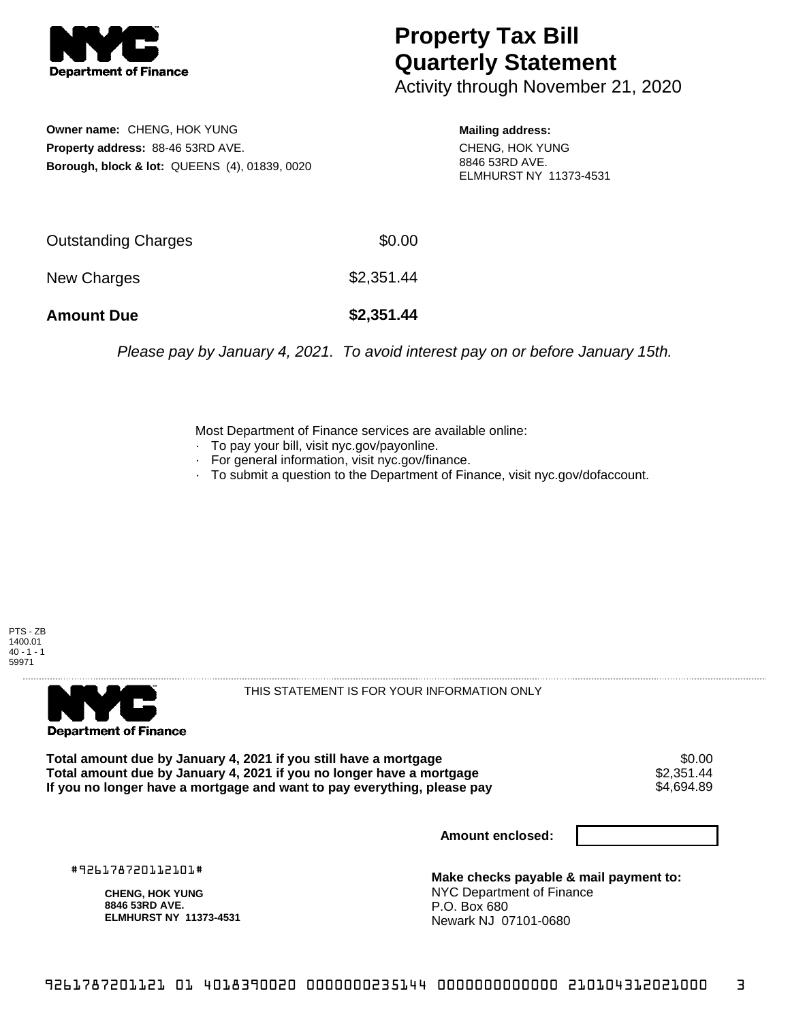

## **Property Tax Bill Quarterly Statement**

Activity through November 21, 2020

**Owner name:** CHENG, HOK YUNG **Property address:** 88-46 53RD AVE. **Borough, block & lot:** QUEENS (4), 01839, 0020

**Mailing address:** CHENG, HOK YUNG 8846 53RD AVE. ELMHURST NY 11373-4531

| <b>Amount Due</b>   | \$2,351.44 |
|---------------------|------------|
| New Charges         | \$2,351.44 |
| Outstanding Charges | \$0.00     |

Please pay by January 4, 2021. To avoid interest pay on or before January 15th.

Most Department of Finance services are available online:

- · To pay your bill, visit nyc.gov/payonline.
- For general information, visit nyc.gov/finance.
- · To submit a question to the Department of Finance, visit nyc.gov/dofaccount.





THIS STATEMENT IS FOR YOUR INFORMATION ONLY

Total amount due by January 4, 2021 if you still have a mortgage \$0.00<br>Total amount due by January 4, 2021 if you no longer have a mortgage \$2.351.44 **Total amount due by January 4, 2021 if you no longer have a mortgage**  $$2,351.44$ **<br>If you no longer have a mortgage and want to pay everything, please pay**  $$4.694.89$ If you no longer have a mortgage and want to pay everything, please pay

**Amount enclosed:**

#926178720112101#

**CHENG, HOK YUNG 8846 53RD AVE. ELMHURST NY 11373-4531**

**Make checks payable & mail payment to:** NYC Department of Finance P.O. Box 680 Newark NJ 07101-0680